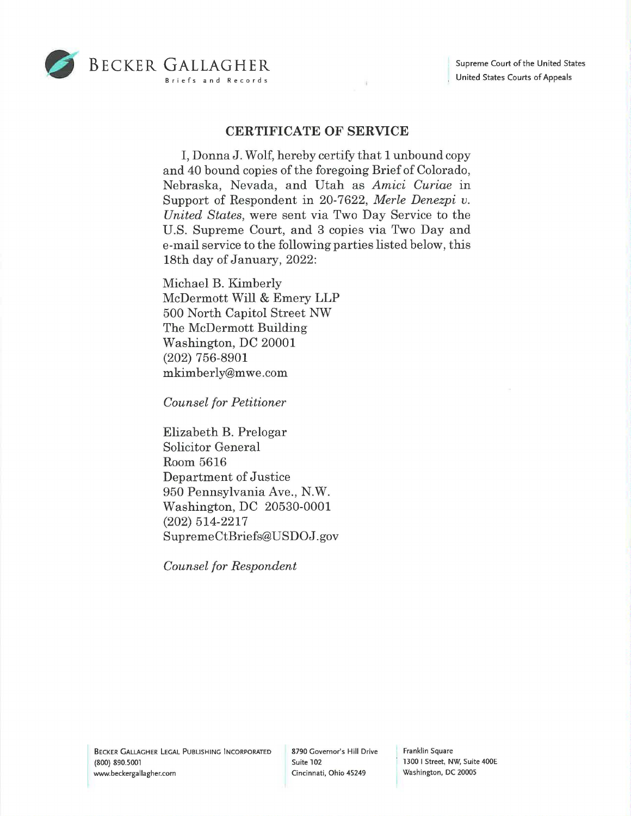

## **CERTIFICATE OF SERVICE**

I, DonnaJ. Wolf, hereby certify that 1 unbound copy and 40 bound copies of the foregoing Brief of Colorado, Nebraska, Nevada, and Utah as *Amici Curiae* in Support of Respondent in 20-7622, *Merle Denezpi v. United States,* were sent via Two Day Service to the U.S. Supreme Court, and 3 copies via Two Day and e-mail service to the following parties listed below, this 18th day of January, 2022:

Michael B. Kimberly McDermott Will & Emery LLP 500 North Capitol Street NW The McDermott Building Washington, DC 20001 (202) 756-8901 mkimberly@mwe.com

*Counsel for Petitioner* 

Elizabeth B. Prelogar Solicitor General Room 5616 Department of Justice 950 Pennsylvania Ave., N.W. Washington, DC 20530-0001 (202) 514-2217 SupremeCtBriefs@USDOJ.gov

*Counsel for Respondent* 

BECKER GALLAGHER LEGAL PUBLISHING INCORPORATED (800) 890.5001 www.beckergallagher.com

8790 Governor's Hill Drive Franklin Square Cincinnati, Ohio 45249 Washington, DC 20005

Suite 102 **1300** I Street, NW, Suite 400E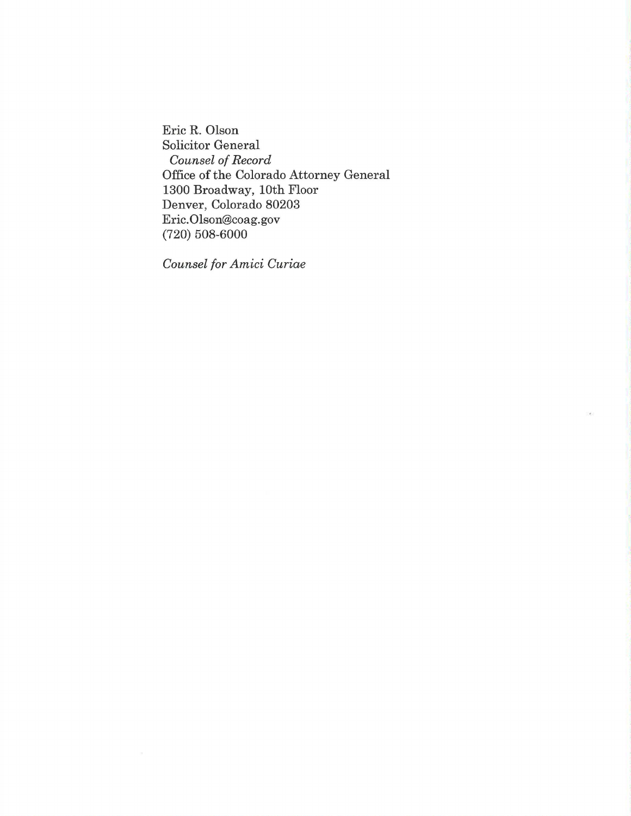Eric R. Olson Solicitor General *Counsel of Record*  Office of the Colorado Attorney General 1300 Broadway, 10th Floor Denver, Colorado 80203 Eric. Olson@coag.gov (720) 508-6000

*Counsel for Amici Curiae*